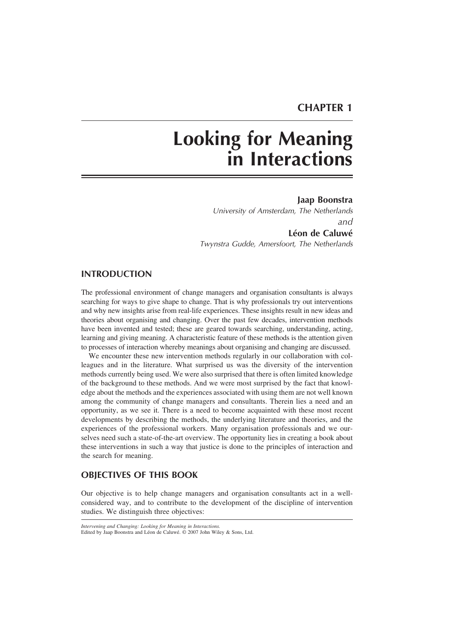# **CHAPTER 1**

# **Looking for Meaning in Interactions**

#### **Jaap Boonstra**

University of Amsterdam, The Netherlands *and* **Léon de Caluwé**

Twynstra Gudde, Amersfoort, The Netherlands

# **INTRODUCTION**

The professional environment of change managers and organisation consultants is always searching for ways to give shape to change. That is why professionals try out interventions and why new insights arise from real-life experiences. These insights result in new ideas and theories about organising and changing. Over the past few decades, intervention methods have been invented and tested; these are geared towards searching, understanding, acting, learning and giving meaning. A characteristic feature of these methods is the attention given to processes of interaction whereby meanings about organising and changing are discussed.

We encounter these new intervention methods regularly in our collaboration with colleagues and in the literature. What surprised us was the diversity of the intervention methods currently being used. We were also surprised that there is often limited knowledge of the background to these methods. And we were most surprised by the fact that knowledge about the methods and the experiences associated with using them are not well known among the community of change managers and consultants. Therein lies a need and an opportunity, as we see it. There is a need to become acquainted with these most recent developments by describing the methods, the underlying literature and theories, and the experiences of the professional workers. Many organisation professionals and we ourselves need such a state-of-the-art overview. The opportunity lies in creating a book about these interventions in such a way that justice is done to the principles of interaction and the search for meaning.

# **OBJECTIVES OF THIS BOOK**

Our objective is to help change managers and organisation consultants act in a wellconsidered way, and to contribute to the development of the discipline of intervention studies. We distinguish three objectives:

*Intervening and Changing: Looking for Meaning in Interactions.* Edited by Jaap Boonstra and Léon de Caluwé. © 2007 John Wiley & Sons, Ltd.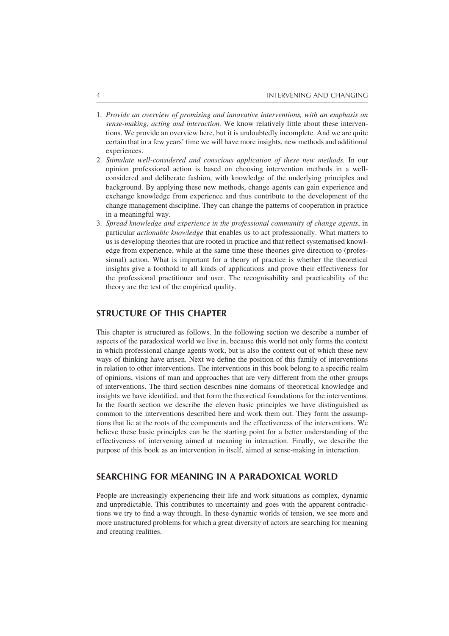- 1. *Provide an overview of promising and innovative interventions, with an emphasis on sense-making, acting and interaction.* We know relatively little about these interventions. We provide an overview here, but it is undoubtedly incomplete. And we are quite certain that in a few years' time we will have more insights, new methods and additional experiences.
- 2. *Stimulate well-considered and conscious application of these new methods.* In our opinion professional action is based on choosing intervention methods in a wellconsidered and deliberate fashion, with knowledge of the underlying principles and background. By applying these new methods, change agents can gain experience and exchange knowledge from experience and thus contribute to the development of the change management discipline. They can change the patterns of cooperation in practice in a meaningful way.
- 3. *Spread knowledge and experience in the professional community of change agents*, in particular *actionable knowledge* that enables us to act professionally. What matters to us is developing theories that are rooted in practice and that reflect systematised knowledge from experience, while at the same time these theories give direction to (professional) action. What is important for a theory of practice is whether the theoretical insights give a foothold to all kinds of applications and prove their effectiveness for the professional practitioner and user. The recognisability and practicability of the theory are the test of the empirical quality.

# **STRUCTURE OF THIS CHAPTER**

This chapter is structured as follows. In the following section we describe a number of aspects of the paradoxical world we live in, because this world not only forms the context in which professional change agents work, but is also the context out of which these new ways of thinking have arisen. Next we define the position of this family of interventions in relation to other interventions. The interventions in this book belong to a specific realm of opinions, visions of man and approaches that are very different from the other groups of interventions. The third section describes nine domains of theoretical knowledge and insights we have identified, and that form the theoretical foundations for the interventions. In the fourth section we describe the eleven basic principles we have distinguished as common to the interventions described here and work them out. They form the assumptions that lie at the roots of the components and the effectiveness of the interventions. We believe these basic principles can be the starting point for a better understanding of the effectiveness of intervening aimed at meaning in interaction. Finally, we describe the purpose of this book as an intervention in itself, aimed at sense-making in interaction.

# **SEARCHING FOR MEANING IN A PARADOXICAL WORLD**

People are increasingly experiencing their life and work situations as complex, dynamic and unpredictable. This contributes to uncertainty and goes with the apparent contradictions we try to find a way through. In these dynamic worlds of tension, we see more and more unstructured problems for which a great diversity of actors are searching for meaning and creating realities.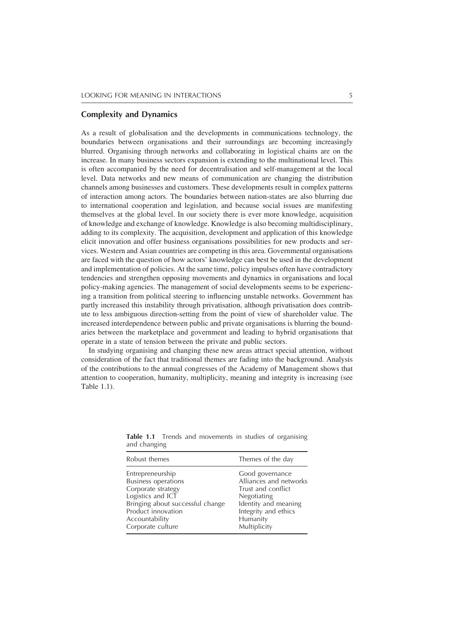## **Complexity and Dynamics**

As a result of globalisation and the developments in communications technology, the boundaries between organisations and their surroundings are becoming increasingly blurred. Organising through networks and collaborating in logistical chains are on the increase. In many business sectors expansion is extending to the multinational level. This is often accompanied by the need for decentralisation and self-management at the local level. Data networks and new means of communication are changing the distribution channels among businesses and customers. These developments result in complex patterns of interaction among actors. The boundaries between nation-states are also blurring due to international cooperation and legislation, and because social issues are manifesting themselves at the global level. In our society there is ever more knowledge, acquisition of knowledge and exchange of knowledge. Knowledge is also becoming multidisciplinary, adding to its complexity. The acquisition, development and application of this knowledge elicit innovation and offer business organisations possibilities for new products and services. Western and Asian countries are competing in this area. Governmental organisations are faced with the question of how actors' knowledge can best be used in the development and implementation of policies. At the same time, policy impulses often have contradictory tendencies and strengthen opposing movements and dynamics in organisations and local policy-making agencies. The management of social developments seems to be experiencing a transition from political steering to influencing unstable networks. Government has partly increased this instability through privatisation, although privatisation does contribute to less ambiguous direction-setting from the point of view of shareholder value. The increased interdependence between public and private organisations is blurring the boundaries between the marketplace and government and leading to hybrid organisations that operate in a state of tension between the private and public sectors.

In studying organising and changing these new areas attract special attention, without consideration of the fact that traditional themes are fading into the background. Analysis of the contributions to the annual congresses of the Academy of Management shows that attention to cooperation, humanity, multiplicity, meaning and integrity is increasing (see Table 1.1).

| Robust themes                    | Themes of the day      |
|----------------------------------|------------------------|
| Entrepreneurship                 | Good governance        |
| Business operations              | Alliances and networks |
| Corporate strategy               | Trust and conflict     |
| Logistics and ICT                | Negotiating            |
| Bringing about successful change | Identity and meaning   |
| Product innovation               | Integrity and ethics   |
| Accountability                   | Humanity               |
| Corporate culture                | Multiplicity           |

**Table 1.1** Trends and movements in studies of organising and changing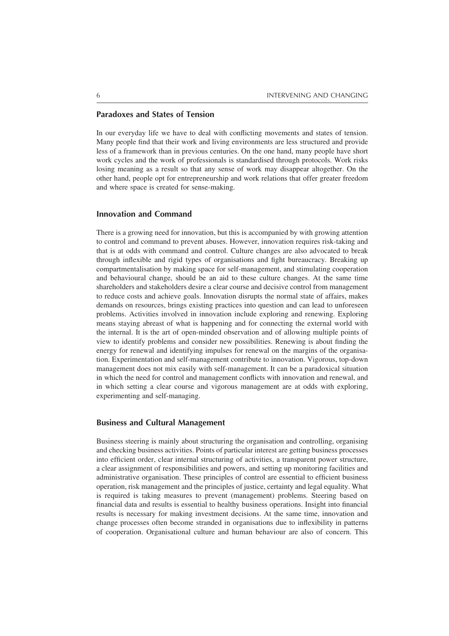#### **Paradoxes and States of Tension**

In our everyday life we have to deal with conflicting movements and states of tension. Many people find that their work and living environments are less structured and provide less of a framework than in previous centuries. On the one hand, many people have short work cycles and the work of professionals is standardised through protocols. Work risks losing meaning as a result so that any sense of work may disappear altogether. On the other hand, people opt for entrepreneurship and work relations that offer greater freedom and where space is created for sense-making.

#### **Innovation and Command**

There is a growing need for innovation, but this is accompanied by with growing attention to control and command to prevent abuses. However, innovation requires risk-taking and that is at odds with command and control. Culture changes are also advocated to break through inflexible and rigid types of organisations and fight bureaucracy. Breaking up compartmentalisation by making space for self-management, and stimulating cooperation and behavioural change, should be an aid to these culture changes. At the same time shareholders and stakeholders desire a clear course and decisive control from management to reduce costs and achieve goals. Innovation disrupts the normal state of affairs, makes demands on resources, brings existing practices into question and can lead to unforeseen problems. Activities involved in innovation include exploring and renewing. Exploring means staying abreast of what is happening and for connecting the external world with the internal. It is the art of open-minded observation and of allowing multiple points of view to identify problems and consider new possibilities. Renewing is about finding the energy for renewal and identifying impulses for renewal on the margins of the organisation. Experimentation and self-management contribute to innovation. Vigorous, top-down management does not mix easily with self-management. It can be a paradoxical situation in which the need for control and management conflicts with innovation and renewal, and in which setting a clear course and vigorous management are at odds with exploring, experimenting and self-managing.

## **Business and Cultural Management**

Business steering is mainly about structuring the organisation and controlling, organising and checking business activities. Points of particular interest are getting business processes into efficient order, clear internal structuring of activities, a transparent power structure, a clear assignment of responsibilities and powers, and setting up monitoring facilities and administrative organisation. These principles of control are essential to efficient business operation, risk management and the principles of justice, certainty and legal equality. What is required is taking measures to prevent (management) problems. Steering based on financial data and results is essential to healthy business operations. Insight into financial results is necessary for making investment decisions. At the same time, innovation and change processes often become stranded in organisations due to inflexibility in patterns of cooperation. Organisational culture and human behaviour are also of concern. This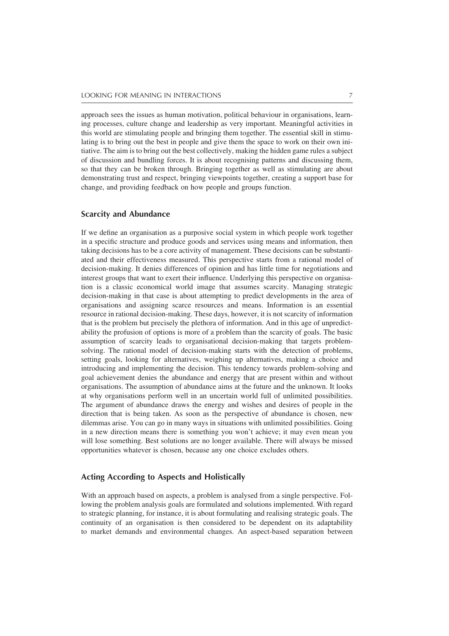approach sees the issues as human motivation, political behaviour in organisations, learning processes, culture change and leadership as very important. Meaningful activities in this world are stimulating people and bringing them together. The essential skill in stimulating is to bring out the best in people and give them the space to work on their own initiative. The aim is to bring out the best collectively, making the hidden game rules a subject of discussion and bundling forces. It is about recognising patterns and discussing them, so that they can be broken through. Bringing together as well as stimulating are about demonstrating trust and respect, bringing viewpoints together, creating a support base for change, and providing feedback on how people and groups function.

## **Scarcity and Abundance**

If we define an organisation as a purposive social system in which people work together in a specific structure and produce goods and services using means and information, then taking decisions has to be a core activity of management. These decisions can be substantiated and their effectiveness measured. This perspective starts from a rational model of decision-making. It denies differences of opinion and has little time for negotiations and interest groups that want to exert their influence. Underlying this perspective on organisation is a classic economical world image that assumes scarcity. Managing strategic decision-making in that case is about attempting to predict developments in the area of organisations and assigning scarce resources and means. Information is an essential resource in rational decision-making. These days, however, it is not scarcity of information that is the problem but precisely the plethora of information. And in this age of unpredictability the profusion of options is more of a problem than the scarcity of goals. The basic assumption of scarcity leads to organisational decision-making that targets problemsolving. The rational model of decision-making starts with the detection of problems, setting goals, looking for alternatives, weighing up alternatives, making a choice and introducing and implementing the decision. This tendency towards problem-solving and goal achievement denies the abundance and energy that are present within and without organisations. The assumption of abundance aims at the future and the unknown. It looks at why organisations perform well in an uncertain world full of unlimited possibilities. The argument of abundance draws the energy and wishes and desires of people in the direction that is being taken. As soon as the perspective of abundance is chosen, new dilemmas arise. You can go in many ways in situations with unlimited possibilities. Going in a new direction means there is something you won't achieve; it may even mean you will lose something. Best solutions are no longer available. There will always be missed opportunities whatever is chosen, because any one choice excludes others.

#### **Acting According to Aspects and Holistically**

With an approach based on aspects, a problem is analysed from a single perspective. Following the problem analysis goals are formulated and solutions implemented. With regard to strategic planning, for instance, it is about formulating and realising strategic goals. The continuity of an organisation is then considered to be dependent on its adaptability to market demands and environmental changes. An aspect-based separation between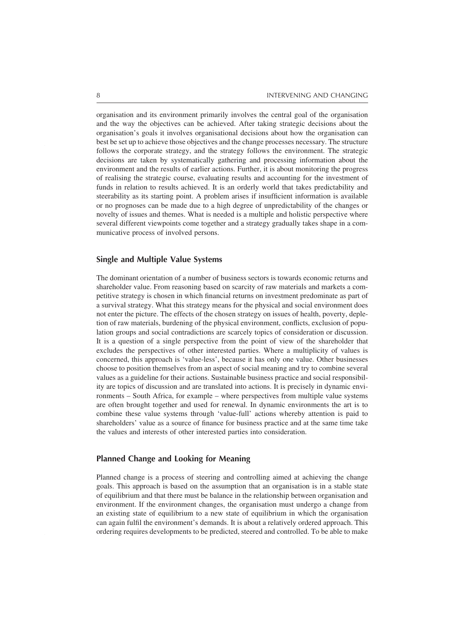organisation and its environment primarily involves the central goal of the organisation and the way the objectives can be achieved. After taking strategic decisions about the organisation's goals it involves organisational decisions about how the organisation can best be set up to achieve those objectives and the change processes necessary. The structure follows the corporate strategy, and the strategy follows the environment. The strategic decisions are taken by systematically gathering and processing information about the environment and the results of earlier actions. Further, it is about monitoring the progress of realising the strategic course, evaluating results and accounting for the investment of funds in relation to results achieved. It is an orderly world that takes predictability and steerability as its starting point. A problem arises if insufficient information is available or no prognoses can be made due to a high degree of unpredictability of the changes or novelty of issues and themes. What is needed is a multiple and holistic perspective where several different viewpoints come together and a strategy gradually takes shape in a communicative process of involved persons.

## **Single and Multiple Value Systems**

The dominant orientation of a number of business sectors is towards economic returns and shareholder value. From reasoning based on scarcity of raw materials and markets a competitive strategy is chosen in which financial returns on investment predominate as part of a survival strategy. What this strategy means for the physical and social environment does not enter the picture. The effects of the chosen strategy on issues of health, poverty, depletion of raw materials, burdening of the physical environment, conflicts, exclusion of population groups and social contradictions are scarcely topics of consideration or discussion. It is a question of a single perspective from the point of view of the shareholder that excludes the perspectives of other interested parties. Where a multiplicity of values is concerned, this approach is 'value-less', because it has only one value. Other businesses choose to position themselves from an aspect of social meaning and try to combine several values as a guideline for their actions. Sustainable business practice and social responsibility are topics of discussion and are translated into actions. It is precisely in dynamic environments – South Africa, for example – where perspectives from multiple value systems are often brought together and used for renewal. In dynamic environments the art is to combine these value systems through 'value-full' actions whereby attention is paid to shareholders' value as a source of finance for business practice and at the same time take the values and interests of other interested parties into consideration.

## **Planned Change and Looking for Meaning**

Planned change is a process of steering and controlling aimed at achieving the change goals. This approach is based on the assumption that an organisation is in a stable state of equilibrium and that there must be balance in the relationship between organisation and environment. If the environment changes, the organisation must undergo a change from an existing state of equilibrium to a new state of equilibrium in which the organisation can again fulfil the environment's demands. It is about a relatively ordered approach. This ordering requires developments to be predicted, steered and controlled. To be able to make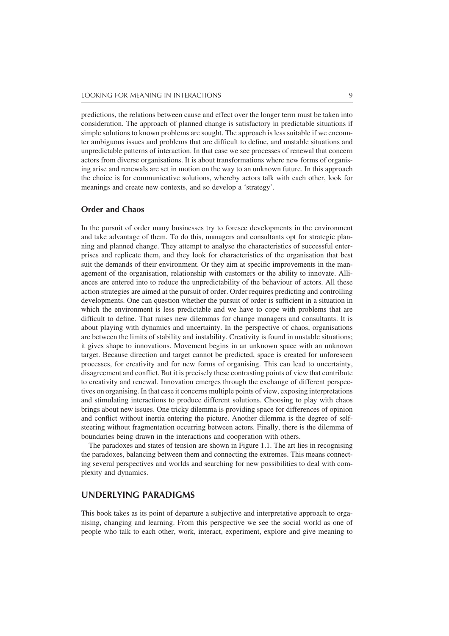predictions, the relations between cause and effect over the longer term must be taken into consideration. The approach of planned change is satisfactory in predictable situations if simple solutions to known problems are sought. The approach is less suitable if we encounter ambiguous issues and problems that are difficult to define, and unstable situations and unpredictable patterns of interaction. In that case we see processes of renewal that concern actors from diverse organisations. It is about transformations where new forms of organising arise and renewals are set in motion on the way to an unknown future. In this approach the choice is for communicative solutions, whereby actors talk with each other, look for meanings and create new contexts, and so develop a 'strategy'.

## **Order and Chaos**

In the pursuit of order many businesses try to foresee developments in the environment and take advantage of them. To do this, managers and consultants opt for strategic planning and planned change. They attempt to analyse the characteristics of successful enterprises and replicate them, and they look for characteristics of the organisation that best suit the demands of their environment. Or they aim at specific improvements in the management of the organisation, relationship with customers or the ability to innovate. Alliances are entered into to reduce the unpredictability of the behaviour of actors. All these action strategies are aimed at the pursuit of order. Order requires predicting and controlling developments. One can question whether the pursuit of order is sufficient in a situation in which the environment is less predictable and we have to cope with problems that are difficult to define. That raises new dilemmas for change managers and consultants. It is about playing with dynamics and uncertainty. In the perspective of chaos, organisations are between the limits of stability and instability. Creativity is found in unstable situations; it gives shape to innovations. Movement begins in an unknown space with an unknown target. Because direction and target cannot be predicted, space is created for unforeseen processes, for creativity and for new forms of organising. This can lead to uncertainty, disagreement and conflict. But it is precisely these contrasting points of view that contribute to creativity and renewal. Innovation emerges through the exchange of different perspectives on organising. In that case it concerns multiple points of view, exposing interpretations and stimulating interactions to produce different solutions. Choosing to play with chaos brings about new issues. One tricky dilemma is providing space for differences of opinion and conflict without inertia entering the picture. Another dilemma is the degree of selfsteering without fragmentation occurring between actors. Finally, there is the dilemma of boundaries being drawn in the interactions and cooperation with others.

The paradoxes and states of tension are shown in Figure 1.1. The art lies in recognising the paradoxes, balancing between them and connecting the extremes. This means connecting several perspectives and worlds and searching for new possibilities to deal with complexity and dynamics.

# **UNDERLYING PARADIGMS**

This book takes as its point of departure a subjective and interpretative approach to organising, changing and learning. From this perspective we see the social world as one of people who talk to each other, work, interact, experiment, explore and give meaning to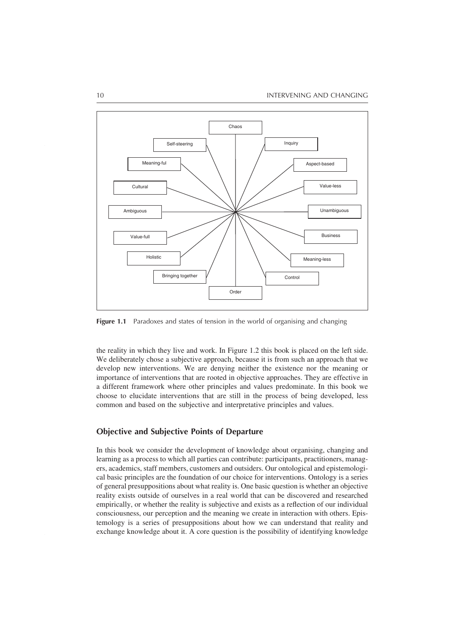

**Figure 1.1** Paradoxes and states of tension in the world of organising and changing

the reality in which they live and work. In Figure 1.2 this book is placed on the left side. We deliberately chose a subjective approach, because it is from such an approach that we develop new interventions. We are denying neither the existence nor the meaning or importance of interventions that are rooted in objective approaches. They are effective in a different framework where other principles and values predominate. In this book we choose to elucidate interventions that are still in the process of being developed, less common and based on the subjective and interpretative principles and values.

#### **Objective and Subjective Points of Departure**

In this book we consider the development of knowledge about organising, changing and learning as a process to which all parties can contribute: participants, practitioners, managers, academics, staff members, customers and outsiders. Our ontological and epistemological basic principles are the foundation of our choice for interventions. Ontology is a series of general presuppositions about what reality is. One basic question is whether an objective reality exists outside of ourselves in a real world that can be discovered and researched empirically, or whether the reality is subjective and exists as a reflection of our individual consciousness, our perception and the meaning we create in interaction with others. Epistemology is a series of presuppositions about how we can understand that reality and exchange knowledge about it. A core question is the possibility of identifying knowledge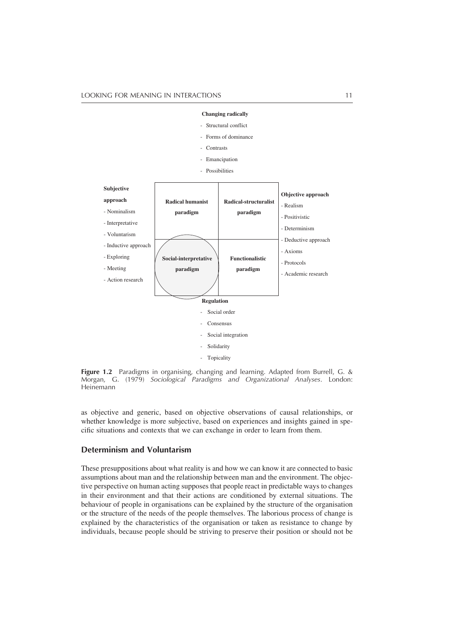

- Topicality

**Figure 1.2** Paradigms in organising, changing and learning. Adapted from Burrell, G. & Morgan, G. (1979) *Sociological Paradigms and Organizational Analyses*. London: Heinemann

as objective and generic, based on objective observations of causal relationships, or whether knowledge is more subjective, based on experiences and insights gained in specific situations and contexts that we can exchange in order to learn from them.

# **Determinism and Voluntarism**

These presuppositions about what reality is and how we can know it are connected to basic assumptions about man and the relationship between man and the environment. The objective perspective on human acting supposes that people react in predictable ways to changes in their environment and that their actions are conditioned by external situations. The behaviour of people in organisations can be explained by the structure of the organisation or the structure of the needs of the people themselves. The laborious process of change is explained by the characteristics of the organisation or taken as resistance to change by individuals, because people should be striving to preserve their position or should not be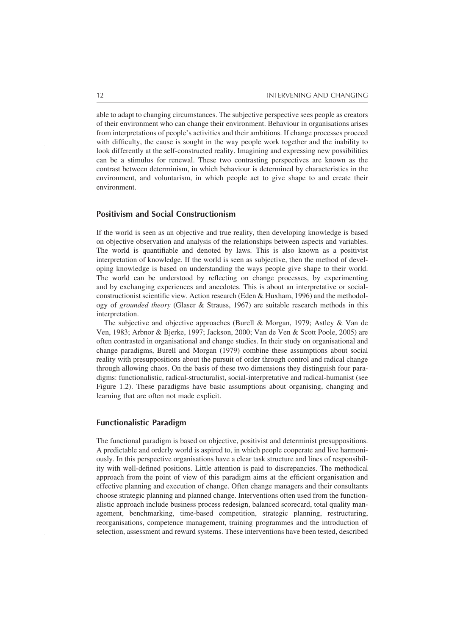able to adapt to changing circumstances. The subjective perspective sees people as creators of their environment who can change their environment. Behaviour in organisations arises from interpretations of people's activities and their ambitions. If change processes proceed with difficulty, the cause is sought in the way people work together and the inability to look differently at the self-constructed reality. Imagining and expressing new possibilities can be a stimulus for renewal. These two contrasting perspectives are known as the contrast between determinism, in which behaviour is determined by characteristics in the environment, and voluntarism, in which people act to give shape to and create their environment.

## **Positivism and Social Constructionism**

If the world is seen as an objective and true reality, then developing knowledge is based on objective observation and analysis of the relationships between aspects and variables. The world is quantifiable and denoted by laws. This is also known as a positivist interpretation of knowledge. If the world is seen as subjective, then the method of developing knowledge is based on understanding the ways people give shape to their world. The world can be understood by reflecting on change processes, by experimenting and by exchanging experiences and anecdotes. This is about an interpretative or socialconstructionist scientific view. Action research (Eden & Huxham, 1996) and the methodology of *grounded theory* (Glaser & Strauss, 1967) are suitable research methods in this interpretation.

The subjective and objective approaches (Burell & Morgan, 1979; Astley & Van de Ven, 1983; Arbnor & Bjerke, 1997; Jackson, 2000; Van de Ven & Scott Poole, 2005) are often contrasted in organisational and change studies. In their study on organisational and change paradigms, Burell and Morgan (1979) combine these assumptions about social reality with presuppositions about the pursuit of order through control and radical change through allowing chaos. On the basis of these two dimensions they distinguish four paradigms: functionalistic, radical-structuralist, social-interpretative and radical-humanist (see Figure 1.2). These paradigms have basic assumptions about organising, changing and learning that are often not made explicit.

## **Functionalistic Paradigm**

The functional paradigm is based on objective, positivist and determinist presuppositions. A predictable and orderly world is aspired to, in which people cooperate and live harmoniously. In this perspective organisations have a clear task structure and lines of responsibility with well-defined positions. Little attention is paid to discrepancies. The methodical approach from the point of view of this paradigm aims at the efficient organisation and effective planning and execution of change. Often change managers and their consultants choose strategic planning and planned change. Interventions often used from the functionalistic approach include business process redesign, balanced scorecard, total quality management, benchmarking, time-based competition, strategic planning, restructuring, reorganisations, competence management, training programmes and the introduction of selection, assessment and reward systems. These interventions have been tested, described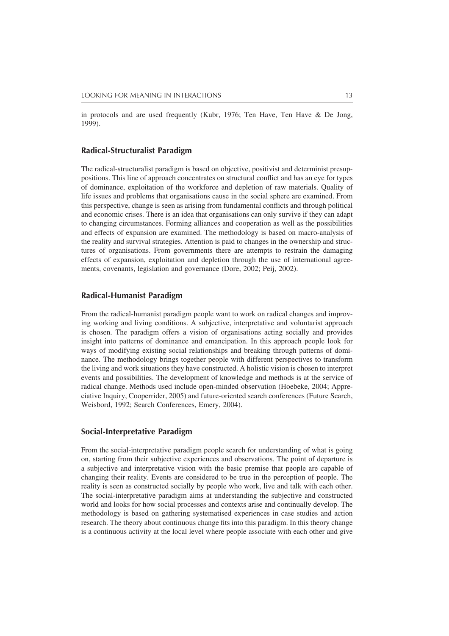in protocols and are used frequently (Kubr, 1976; Ten Have, Ten Have & De Jong, 1999).

#### **Radical-Structuralist Paradigm**

The radical-structuralist paradigm is based on objective, positivist and determinist presuppositions. This line of approach concentrates on structural conflict and has an eye for types of dominance, exploitation of the workforce and depletion of raw materials. Quality of life issues and problems that organisations cause in the social sphere are examined. From this perspective, change is seen as arising from fundamental conflicts and through political and economic crises. There is an idea that organisations can only survive if they can adapt to changing circumstances. Forming alliances and cooperation as well as the possibilities and effects of expansion are examined. The methodology is based on macro-analysis of the reality and survival strategies. Attention is paid to changes in the ownership and structures of organisations. From governments there are attempts to restrain the damaging effects of expansion, exploitation and depletion through the use of international agreements, covenants, legislation and governance (Dore, 2002; Peij, 2002).

## **Radical-Humanist Paradigm**

From the radical-humanist paradigm people want to work on radical changes and improving working and living conditions. A subjective, interpretative and voluntarist approach is chosen. The paradigm offers a vision of organisations acting socially and provides insight into patterns of dominance and emancipation. In this approach people look for ways of modifying existing social relationships and breaking through patterns of dominance. The methodology brings together people with different perspectives to transform the living and work situations they have constructed. A holistic vision is chosen to interpret events and possibilities. The development of knowledge and methods is at the service of radical change. Methods used include open-minded observation (Hoebeke, 2004; Appreciative Inquiry, Cooperrider, 2005) and future-oriented search conferences (Future Search, Weisbord, 1992; Search Conferences, Emery, 2004).

#### **Social-Interpretative Paradigm**

From the social-interpretative paradigm people search for understanding of what is going on, starting from their subjective experiences and observations. The point of departure is a subjective and interpretative vision with the basic premise that people are capable of changing their reality. Events are considered to be true in the perception of people. The reality is seen as constructed socially by people who work, live and talk with each other. The social-interpretative paradigm aims at understanding the subjective and constructed world and looks for how social processes and contexts arise and continually develop. The methodology is based on gathering systematised experiences in case studies and action research. The theory about continuous change fits into this paradigm. In this theory change is a continuous activity at the local level where people associate with each other and give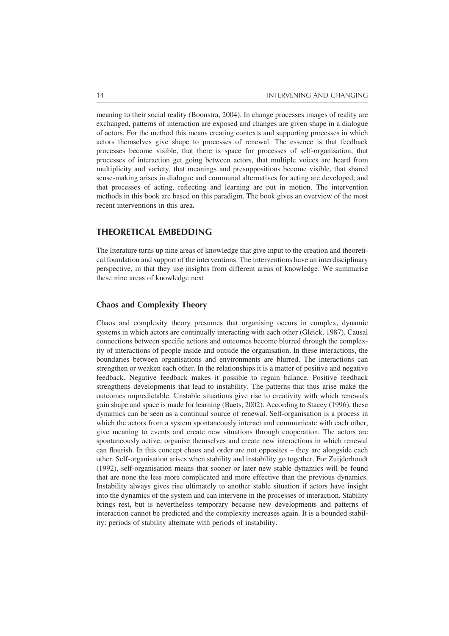meaning to their social reality (Boonstra, 2004). In change processes images of reality are exchanged, patterns of interaction are exposed and changes are given shape in a dialogue of actors. For the method this means creating contexts and supporting processes in which actors themselves give shape to processes of renewal. The essence is that feedback processes become visible, that there is space for processes of self-organisation, that processes of interaction get going between actors, that multiple voices are heard from multiplicity and variety, that meanings and presuppositions become visible, that shared sense-making arises in dialogue and communal alternatives for acting are developed, and that processes of acting, reflecting and learning are put in motion. The intervention methods in this book are based on this paradigm. The book gives an overview of the most recent interventions in this area.

# **THEORETICAL EMBEDDING**

The literature turns up nine areas of knowledge that give input to the creation and theoretical foundation and support of the interventions. The interventions have an interdisciplinary perspective, in that they use insights from different areas of knowledge. We summarise these nine areas of knowledge next.

#### **Chaos and Complexity Theory**

Chaos and complexity theory presumes that organising occurs in complex, dynamic systems in which actors are continually interacting with each other (Gleick, 1987). Causal connections between specific actions and outcomes become blurred through the complexity of interactions of people inside and outside the organisation. In these interactions, the boundaries between organisations and environments are blurred. The interactions can strengthen or weaken each other. In the relationships it is a matter of positive and negative feedback. Negative feedback makes it possible to regain balance. Positive feedback strengthens developments that lead to instability. The patterns that thus arise make the outcomes unpredictable. Unstable situations give rise to creativity with which renewals gain shape and space is made for learning (Baets, 2002). According to Stacey (1996), these dynamics can be seen as a continual source of renewal. Self-organisation is a process in which the actors from a system spontaneously interact and communicate with each other, give meaning to events and create new situations through cooperation. The actors are spontaneously active, organise themselves and create new interactions in which renewal can flourish. In this concept chaos and order are not opposites – they are alongside each other. Self-organisation arises when stability and instability go together. For Zuijderhoudt (1992), self-organisation means that sooner or later new stable dynamics will be found that are none the less more complicated and more effective than the previous dynamics. Instability always gives rise ultimately to another stable situation if actors have insight into the dynamics of the system and can intervene in the processes of interaction. Stability brings rest, but is nevertheless temporary because new developments and patterns of interaction cannot be predicted and the complexity increases again. It is a bounded stability: periods of stability alternate with periods of instability.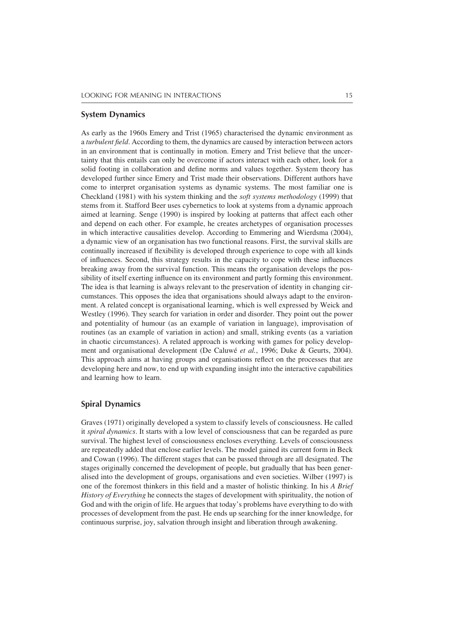#### **System Dynamics**

As early as the 1960s Emery and Trist (1965) characterised the dynamic environment as a *turbulent field*. According to them, the dynamics are caused by interaction between actors in an environment that is continually in motion. Emery and Trist believe that the uncertainty that this entails can only be overcome if actors interact with each other, look for a solid footing in collaboration and define norms and values together. System theory has developed further since Emery and Trist made their observations. Different authors have come to interpret organisation systems as dynamic systems. The most familiar one is Checkland (1981) with his system thinking and the *soft systems methodology* (1999) that stems from it. Stafford Beer uses cybernetics to look at systems from a dynamic approach aimed at learning. Senge (1990) is inspired by looking at patterns that affect each other and depend on each other. For example, he creates archetypes of organisation processes in which interactive causalities develop. According to Emmering and Wierdsma (2004), a dynamic view of an organisation has two functional reasons. First, the survival skills are continually increased if flexibility is developed through experience to cope with all kinds of influences. Second, this strategy results in the capacity to cope with these influences breaking away from the survival function. This means the organisation develops the possibility of itself exerting influence on its environment and partly forming this environment. The idea is that learning is always relevant to the preservation of identity in changing circumstances. This opposes the idea that organisations should always adapt to the environment. A related concept is organisational learning, which is well expressed by Weick and Westley (1996). They search for variation in order and disorder. They point out the power and potentiality of humour (as an example of variation in language), improvisation of routines (as an example of variation in action) and small, striking events (as a variation in chaotic circumstances). A related approach is working with games for policy development and organisational development (De Caluwé *et al.*, 1996; Duke & Geurts, 2004). This approach aims at having groups and organisations reflect on the processes that are developing here and now, to end up with expanding insight into the interactive capabilities and learning how to learn.

#### **Spiral Dynamics**

Graves (1971) originally developed a system to classify levels of consciousness. He called it *spiral dynamics*. It starts with a low level of consciousness that can be regarded as pure survival. The highest level of consciousness encloses everything. Levels of consciousness are repeatedly added that enclose earlier levels. The model gained its current form in Beck and Cowan (1996). The different stages that can be passed through are all designated. The stages originally concerned the development of people, but gradually that has been generalised into the development of groups, organisations and even societies. Wilber (1997) is one of the foremost thinkers in this field and a master of holistic thinking. In his *A Brief History of Everything* he connects the stages of development with spirituality, the notion of God and with the origin of life. He argues that today's problems have everything to do with processes of development from the past. He ends up searching for the inner knowledge, for continuous surprise, joy, salvation through insight and liberation through awakening.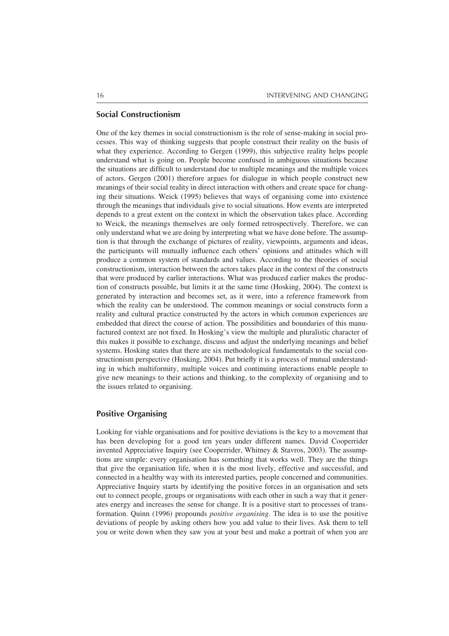## **Social Constructionism**

One of the key themes in social constructionism is the role of sense-making in social processes. This way of thinking suggests that people construct their reality on the basis of what they experience. According to Gergen (1999), this subjective reality helps people understand what is going on. People become confused in ambiguous situations because the situations are difficult to understand due to multiple meanings and the multiple voices of actors. Gergen (2001) therefore argues for dialogue in which people construct new meanings of their social reality in direct interaction with others and create space for changing their situations. Weick (1995) believes that ways of organising come into existence through the meanings that individuals give to social situations. How events are interpreted depends to a great extent on the context in which the observation takes place. According to Weick, the meanings themselves are only formed retrospectively. Therefore, we can only understand what we are doing by interpreting what we have done before. The assumption is that through the exchange of pictures of reality, viewpoints, arguments and ideas, the participants will mutually influence each others' opinions and attitudes which will produce a common system of standards and values. According to the theories of social constructionism, interaction between the actors takes place in the context of the constructs that were produced by earlier interactions. What was produced earlier makes the production of constructs possible, but limits it at the same time (Hosking, 2004). The context is generated by interaction and becomes set, as it were, into a reference framework from which the reality can be understood. The common meanings or social constructs form a reality and cultural practice constructed by the actors in which common experiences are embedded that direct the course of action. The possibilities and boundaries of this manufactured context are not fixed. In Hosking's view the multiple and pluralistic character of this makes it possible to exchange, discuss and adjust the underlying meanings and belief systems. Hosking states that there are six methodological fundamentals to the social constructionism perspective (Hosking, 2004). Put briefly it is a process of mutual understanding in which multiformity, multiple voices and continuing interactions enable people to give new meanings to their actions and thinking, to the complexity of organising and to the issues related to organising.

# **Positive Organising**

Looking for viable organisations and for positive deviations is the key to a movement that has been developing for a good ten years under different names. David Cooperrider invented Appreciative Inquiry (see Cooperrider, Whitney & Stavros, 2003). The assumptions are simple: every organisation has something that works well. They are the things that give the organisation life, when it is the most lively, effective and successful, and connected in a healthy way with its interested parties, people concerned and communities. Appreciative Inquiry starts by identifying the positive forces in an organisation and sets out to connect people, groups or organisations with each other in such a way that it generates energy and increases the sense for change. It is a positive start to processes of transformation. Quinn (1996) propounds *positive organising*. The idea is to use the positive deviations of people by asking others how you add value to their lives. Ask them to tell you or write down when they saw you at your best and make a portrait of when you are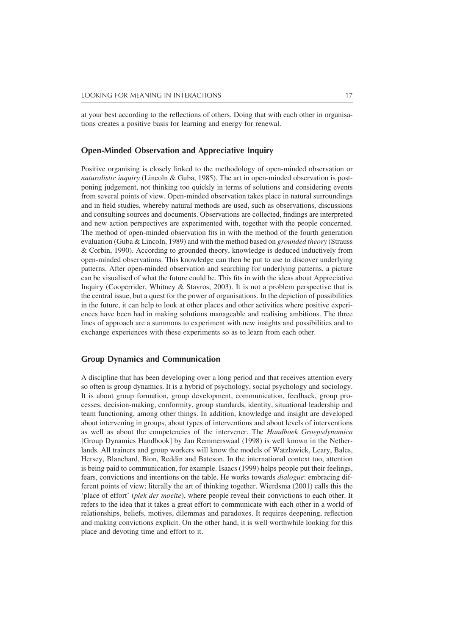at your best according to the reflections of others. Doing that with each other in organisations creates a positive basis for learning and energy for renewal.

#### **Open-Minded Observation and Appreciative Inquiry**

Positive organising is closely linked to the methodology of open-minded observation or *naturalistic inquiry* (Lincoln & Guba, 1985). The art in open-minded observation is postponing judgement, not thinking too quickly in terms of solutions and considering events from several points of view. Open-minded observation takes place in natural surroundings and in field studies, whereby natural methods are used, such as observations, discussions and consulting sources and documents. Observations are collected, findings are interpreted and new action perspectives are experimented with, together with the people concerned. The method of open-minded observation fits in with the method of the fourth generation evaluation (Guba & Lincoln, 1989) and with the method based on *grounded theory* (Strauss & Corbin, 1990). According to grounded theory, knowledge is deduced inductively from open-minded observations. This knowledge can then be put to use to discover underlying patterns. After open-minded observation and searching for underlying patterns, a picture can be visualised of what the future could be. This fits in with the ideas about Appreciative Inquiry (Cooperrider, Whitney & Stavros, 2003). It is not a problem perspective that is the central issue, but a quest for the power of organisations. In the depiction of possibilities in the future, it can help to look at other places and other activities where positive experiences have been had in making solutions manageable and realising ambitions. The three lines of approach are a summons to experiment with new insights and possibilities and to exchange experiences with these experiments so as to learn from each other.

## **Group Dynamics and Communication**

A discipline that has been developing over a long period and that receives attention every so often is group dynamics. It is a hybrid of psychology, social psychology and sociology. It is about group formation, group development, communication, feedback, group processes, decision-making, conformity, group standards, identity, situational leadership and team functioning, among other things. In addition, knowledge and insight are developed about intervening in groups, about types of interventions and about levels of interventions as well as about the competencies of the intervener. The *Handboek Groepsdynamica* [Group Dynamics Handbook] by Jan Remmerswaal (1998) is well known in the Netherlands. All trainers and group workers will know the models of Watzlawick, Leary, Bales, Hersey, Blanchard, Bion, Reddin and Bateson. In the international context too, attention is being paid to communication, for example. Isaacs (1999) helps people put their feelings, fears, convictions and intentions on the table. He works towards *dialogue*: embracing different points of view; literally the art of thinking together. Wierdsma (2001) calls this the 'place of effort' (*plek der moeite*), where people reveal their convictions to each other. It refers to the idea that it takes a great effort to communicate with each other in a world of relationships, beliefs, motives, dilemmas and paradoxes. It requires deepening, reflection and making convictions explicit. On the other hand, it is well worthwhile looking for this place and devoting time and effort to it.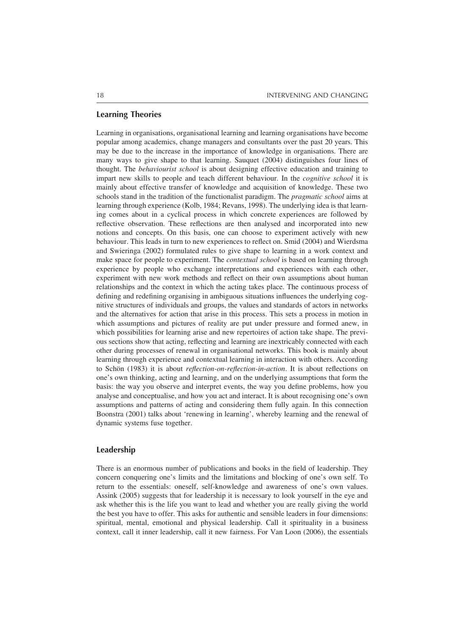## **Learning Theories**

Learning in organisations, organisational learning and learning organisations have become popular among academics, change managers and consultants over the past 20 years. This may be due to the increase in the importance of knowledge in organisations. There are many ways to give shape to that learning. Sauquet (2004) distinguishes four lines of thought. The *behaviourist school* is about designing effective education and training to impart new skills to people and teach different behaviour. In the *cognitive school* it is mainly about effective transfer of knowledge and acquisition of knowledge. These two schools stand in the tradition of the functionalist paradigm. The *pragmatic school* aims at learning through experience (Kolb, 1984; Revans, 1998). The underlying idea is that learning comes about in a cyclical process in which concrete experiences are followed by reflective observation. These reflections are then analysed and incorporated into new notions and concepts. On this basis, one can choose to experiment actively with new behaviour. This leads in turn to new experiences to reflect on. Smid (2004) and Wierdsma and Swieringa (2002) formulated rules to give shape to learning in a work context and make space for people to experiment. The *contextual school* is based on learning through experience by people who exchange interpretations and experiences with each other, experiment with new work methods and reflect on their own assumptions about human relationships and the context in which the acting takes place. The continuous process of defining and redefining organising in ambiguous situations influences the underlying cognitive structures of individuals and groups, the values and standards of actors in networks and the alternatives for action that arise in this process. This sets a process in motion in which assumptions and pictures of reality are put under pressure and formed anew, in which possibilities for learning arise and new repertoires of action take shape. The previous sections show that acting, reflecting and learning are inextricably connected with each other during processes of renewal in organisational networks. This book is mainly about learning through experience and contextual learning in interaction with others. According to Schön (1983) it is about *reflection-on-reflection-in-action*. It is about reflections on one's own thinking, acting and learning, and on the underlying assumptions that form the basis: the way you observe and interpret events, the way you define problems, how you analyse and conceptualise, and how you act and interact. It is about recognising one's own assumptions and patterns of acting and considering them fully again. In this connection Boonstra (2001) talks about 'renewing in learning', whereby learning and the renewal of dynamic systems fuse together.

#### **Leadership**

There is an enormous number of publications and books in the field of leadership. They concern conquering one's limits and the limitations and blocking of one's own self. To return to the essentials: oneself, self-knowledge and awareness of one's own values. Assink (2005) suggests that for leadership it is necessary to look yourself in the eye and ask whether this is the life you want to lead and whether you are really giving the world the best you have to offer. This asks for authentic and sensible leaders in four dimensions: spiritual, mental, emotional and physical leadership. Call it spirituality in a business context, call it inner leadership, call it new fairness. For Van Loon (2006), the essentials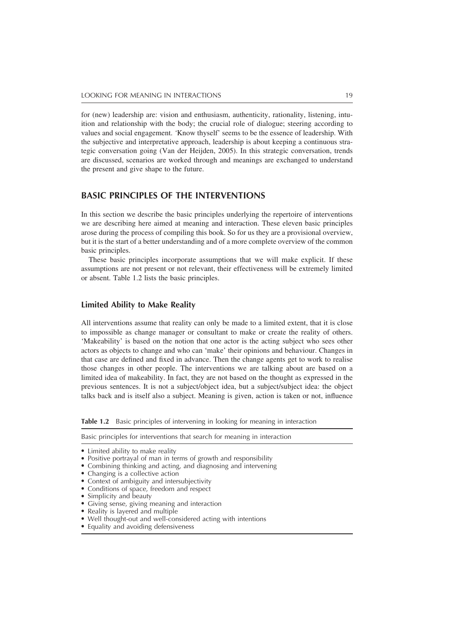for (new) leadership are: vision and enthusiasm, authenticity, rationality, listening, intuition and relationship with the body; the crucial role of dialogue; steering according to values and social engagement. *'*Know thyself' seems to be the essence of leadership. With the subjective and interpretative approach, leadership is about keeping a continuous strategic conversation going (Van der Heijden, 2005). In this strategic conversation, trends are discussed, scenarios are worked through and meanings are exchanged to understand the present and give shape to the future.

# **BASIC PRINCIPLES OF THE INTERVENTIONS**

In this section we describe the basic principles underlying the repertoire of interventions we are describing here aimed at meaning and interaction. These eleven basic principles arose during the process of compiling this book. So for us they are a provisional overview, but it is the start of a better understanding and of a more complete overview of the common basic principles.

These basic principles incorporate assumptions that we will make explicit. If these assumptions are not present or not relevant, their effectiveness will be extremely limited or absent. Table 1.2 lists the basic principles.

#### **Limited Ability to Make Reality**

All interventions assume that reality can only be made to a limited extent, that it is close to impossible as change manager or consultant to make or create the reality of others. 'Makeability' is based on the notion that one actor is the acting subject who sees other actors as objects to change and who can 'make' their opinions and behaviour. Changes in that case are defined and fixed in advance. Then the change agents get to work to realise those changes in other people. The interventions we are talking about are based on a limited idea of makeability. In fact, they are not based on the thought as expressed in the previous sentences. It is not a subject/object idea, but a subject/subject idea: the object talks back and is itself also a subject. Meaning is given, action is taken or not, influence

**Table 1.2** Basic principles of intervening in looking for meaning in interaction

|  |  |  | Basic principles for interventions that search for meaning in interaction |  |
|--|--|--|---------------------------------------------------------------------------|--|
|--|--|--|---------------------------------------------------------------------------|--|

<sup>•</sup> Limited ability to make reality

- Conditions of space, freedom and respect
- Simplicity and beauty
- Giving sense, giving meaning and interaction
- Reality is layered and multiple
- Well thought-out and well-considered acting with intentions
- Equality and avoiding defensiveness

<sup>•</sup> Positive portrayal of man in terms of growth and responsibility

<sup>•</sup> Combining thinking and acting, and diagnosing and intervening

<sup>•</sup> Changing is a collective action

<sup>•</sup> Context of ambiguity and intersubjectivity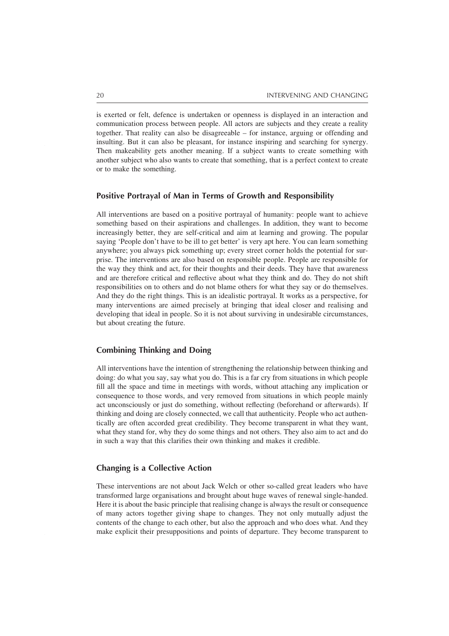is exerted or felt, defence is undertaken or openness is displayed in an interaction and communication process between people. All actors are subjects and they create a reality together. That reality can also be disagreeable – for instance, arguing or offending and insulting. But it can also be pleasant, for instance inspiring and searching for synergy. Then makeability gets another meaning. If a subject wants to create something with another subject who also wants to create that something, that is a perfect context to create or to make the something.

#### **Positive Portrayal of Man in Terms of Growth and Responsibility**

All interventions are based on a positive portrayal of humanity: people want to achieve something based on their aspirations and challenges. In addition, they want to become increasingly better, they are self-critical and aim at learning and growing. The popular saying 'People don't have to be ill to get better' is very apt here. You can learn something anywhere; you always pick something up; every street corner holds the potential for surprise. The interventions are also based on responsible people. People are responsible for the way they think and act, for their thoughts and their deeds. They have that awareness and are therefore critical and reflective about what they think and do. They do not shift responsibilities on to others and do not blame others for what they say or do themselves. And they do the right things. This is an idealistic portrayal. It works as a perspective, for many interventions are aimed precisely at bringing that ideal closer and realising and developing that ideal in people. So it is not about surviving in undesirable circumstances, but about creating the future.

# **Combining Thinking and Doing**

All interventions have the intention of strengthening the relationship between thinking and doing: do what you say, say what you do. This is a far cry from situations in which people fill all the space and time in meetings with words, without attaching any implication or consequence to those words, and very removed from situations in which people mainly act unconsciously or just do something, without reflecting (beforehand or afterwards). If thinking and doing are closely connected, we call that authenticity. People who act authentically are often accorded great credibility. They become transparent in what they want, what they stand for, why they do some things and not others. They also aim to act and do in such a way that this clarifies their own thinking and makes it credible.

# **Changing is a Collective Action**

These interventions are not about Jack Welch or other so-called great leaders who have transformed large organisations and brought about huge waves of renewal single-handed. Here it is about the basic principle that realising change is always the result or consequence of many actors together giving shape to changes. They not only mutually adjust the contents of the change to each other, but also the approach and who does what. And they make explicit their presuppositions and points of departure. They become transparent to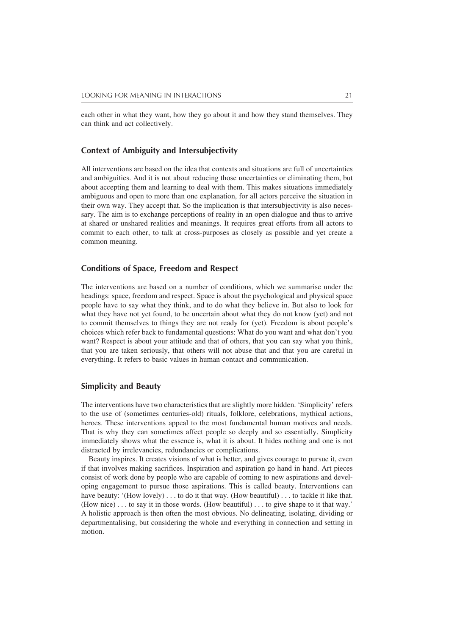each other in what they want, how they go about it and how they stand themselves. They can think and act collectively.

## **Context of Ambiguity and Intersubjectivity**

All interventions are based on the idea that contexts and situations are full of uncertainties and ambiguities. And it is not about reducing those uncertainties or eliminating them, but about accepting them and learning to deal with them. This makes situations immediately ambiguous and open to more than one explanation, for all actors perceive the situation in their own way. They accept that. So the implication is that intersubjectivity is also necessary. The aim is to exchange perceptions of reality in an open dialogue and thus to arrive at shared or unshared realities and meanings. It requires great efforts from all actors to commit to each other, to talk at cross-purposes as closely as possible and yet create a common meaning.

## **Conditions of Space, Freedom and Respect**

The interventions are based on a number of conditions, which we summarise under the headings: space, freedom and respect. Space is about the psychological and physical space people have to say what they think, and to do what they believe in. But also to look for what they have not yet found, to be uncertain about what they do not know (yet) and not to commit themselves to things they are not ready for (yet). Freedom is about people's choices which refer back to fundamental questions: What do you want and what don't you want? Respect is about your attitude and that of others, that you can say what you think, that you are taken seriously, that others will not abuse that and that you are careful in everything. It refers to basic values in human contact and communication.

## **Simplicity and Beauty**

The interventions have two characteristics that are slightly more hidden. 'Simplicity' refers to the use of (sometimes centuries-old) rituals, folklore, celebrations, mythical actions, heroes. These interventions appeal to the most fundamental human motives and needs. That is why they can sometimes affect people so deeply and so essentially. Simplicity immediately shows what the essence is, what it is about. It hides nothing and one is not distracted by irrelevancies, redundancies or complications.

Beauty inspires. It creates visions of what is better, and gives courage to pursue it, even if that involves making sacrifices. Inspiration and aspiration go hand in hand. Art pieces consist of work done by people who are capable of coming to new aspirations and developing engagement to pursue those aspirations. This is called beauty. Interventions can have beauty: '(How lovely) . . . to do it that way. (How beautiful) . . . to tackle it like that. (How nice) . . . to say it in those words. (How beautiful) . . . to give shape to it that way.' A holistic approach is then often the most obvious. No delineating, isolating, dividing or departmentalising, but considering the whole and everything in connection and setting in motion.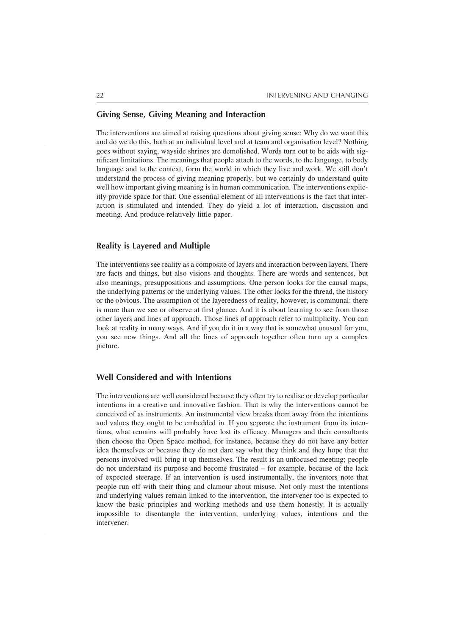#### **Giving Sense, Giving Meaning and Interaction**

The interventions are aimed at raising questions about giving sense: Why do we want this and do we do this, both at an individual level and at team and organisation level? Nothing goes without saying, wayside shrines are demolished. Words turn out to be aids with significant limitations. The meanings that people attach to the words, to the language, to body language and to the context, form the world in which they live and work. We still don't understand the process of giving meaning properly, but we certainly do understand quite well how important giving meaning is in human communication. The interventions explicitly provide space for that. One essential element of all interventions is the fact that interaction is stimulated and intended. They do yield a lot of interaction, discussion and meeting. And produce relatively little paper.

#### **Reality is Layered and Multiple**

The interventions see reality as a composite of layers and interaction between layers. There are facts and things, but also visions and thoughts. There are words and sentences, but also meanings, presuppositions and assumptions. One person looks for the causal maps, the underlying patterns or the underlying values. The other looks for the thread, the history or the obvious. The assumption of the layeredness of reality, however, is communal: there is more than we see or observe at first glance. And it is about learning to see from those other layers and lines of approach. Those lines of approach refer to multiplicity. You can look at reality in many ways. And if you do it in a way that is somewhat unusual for you, you see new things. And all the lines of approach together often turn up a complex picture.

## **Well Considered and with Intentions**

The interventions are well considered because they often try to realise or develop particular intentions in a creative and innovative fashion. That is why the interventions cannot be conceived of as instruments. An instrumental view breaks them away from the intentions and values they ought to be embedded in. If you separate the instrument from its intentions, what remains will probably have lost its efficacy. Managers and their consultants then choose the Open Space method, for instance, because they do not have any better idea themselves or because they do not dare say what they think and they hope that the persons involved will bring it up themselves. The result is an unfocused meeting; people do not understand its purpose and become frustrated – for example, because of the lack of expected steerage. If an intervention is used instrumentally, the inventors note that people run off with their thing and clamour about misuse. Not only must the intentions and underlying values remain linked to the intervention, the intervener too is expected to know the basic principles and working methods and use them honestly. It is actually impossible to disentangle the intervention, underlying values, intentions and the intervener.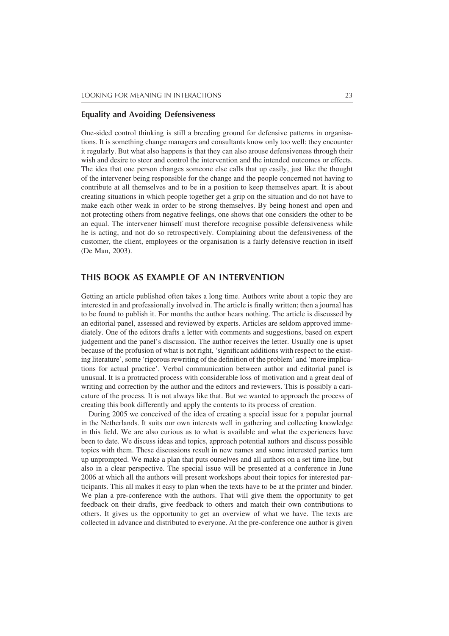## **Equality and Avoiding Defensiveness**

One-sided control thinking is still a breeding ground for defensive patterns in organisations. It is something change managers and consultants know only too well: they encounter it regularly. But what also happens is that they can also arouse defensiveness through their wish and desire to steer and control the intervention and the intended outcomes or effects. The idea that one person changes someone else calls that up easily, just like the thought of the intervener being responsible for the change and the people concerned not having to contribute at all themselves and to be in a position to keep themselves apart. It is about creating situations in which people together get a grip on the situation and do not have to make each other weak in order to be strong themselves. By being honest and open and not protecting others from negative feelings, one shows that one considers the other to be an equal. The intervener himself must therefore recognise possible defensiveness while he is acting, and not do so retrospectively. Complaining about the defensiveness of the customer, the client, employees or the organisation is a fairly defensive reaction in itself (De Man, 2003).

# **THIS BOOK AS EXAMPLE OF AN INTERVENTION**

Getting an article published often takes a long time. Authors write about a topic they are interested in and professionally involved in. The article is finally written; then a journal has to be found to publish it. For months the author hears nothing. The article is discussed by an editorial panel, assessed and reviewed by experts. Articles are seldom approved immediately. One of the editors drafts a letter with comments and suggestions, based on expert judgement and the panel's discussion. The author receives the letter. Usually one is upset because of the profusion of what is not right, 'significant additions with respect to the existing literature', some 'rigorous rewriting of the definition of the problem' and 'more implications for actual practice'. Verbal communication between author and editorial panel is unusual. It is a protracted process with considerable loss of motivation and a great deal of writing and correction by the author and the editors and reviewers. This is possibly a caricature of the process. It is not always like that. But we wanted to approach the process of creating this book differently and apply the contents to its process of creation.

During 2005 we conceived of the idea of creating a special issue for a popular journal in the Netherlands. It suits our own interests well in gathering and collecting knowledge in this field. We are also curious as to what is available and what the experiences have been to date. We discuss ideas and topics, approach potential authors and discuss possible topics with them. These discussions result in new names and some interested parties turn up unprompted. We make a plan that puts ourselves and all authors on a set time line, but also in a clear perspective. The special issue will be presented at a conference in June 2006 at which all the authors will present workshops about their topics for interested participants. This all makes it easy to plan when the texts have to be at the printer and binder. We plan a pre-conference with the authors. That will give them the opportunity to get feedback on their drafts, give feedback to others and match their own contributions to others. It gives us the opportunity to get an overview of what we have. The texts are collected in advance and distributed to everyone. At the pre-conference one author is given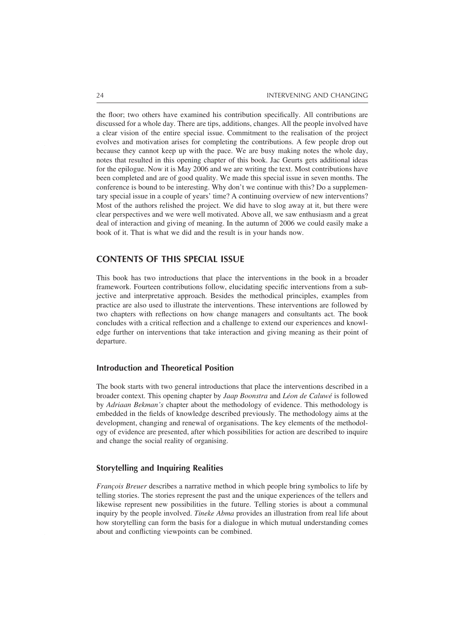the floor; two others have examined his contribution specifically. All contributions are discussed for a whole day. There are tips, additions, changes. All the people involved have a clear vision of the entire special issue. Commitment to the realisation of the project evolves and motivation arises for completing the contributions. A few people drop out because they cannot keep up with the pace. We are busy making notes the whole day, notes that resulted in this opening chapter of this book. Jac Geurts gets additional ideas for the epilogue. Now it is May 2006 and we are writing the text. Most contributions have been completed and are of good quality. We made this special issue in seven months. The conference is bound to be interesting. Why don't we continue with this? Do a supplementary special issue in a couple of years' time? A continuing overview of new interventions? Most of the authors relished the project. We did have to slog away at it, but there were clear perspectives and we were well motivated. Above all, we saw enthusiasm and a great deal of interaction and giving of meaning. In the autumn of 2006 we could easily make a book of it. That is what we did and the result is in your hands now.

# **CONTENTS OF THIS SPECIAL ISSUE**

This book has two introductions that place the interventions in the book in a broader framework. Fourteen contributions follow, elucidating specific interventions from a subjective and interpretative approach. Besides the methodical principles, examples from practice are also used to illustrate the interventions. These interventions are followed by two chapters with reflections on how change managers and consultants act. The book concludes with a critical reflection and a challenge to extend our experiences and knowledge further on interventions that take interaction and giving meaning as their point of departure.

# **Introduction and Theoretical Position**

The book starts with two general introductions that place the interventions described in a broader context. This opening chapter by *Jaap Boonstra* and *Léon de Caluwé* is followed by *Adriaan Bekman's* chapter about the methodology of evidence. This methodology is embedded in the fields of knowledge described previously. The methodology aims at the development, changing and renewal of organisations. The key elements of the methodology of evidence are presented, after which possibilities for action are described to inquire and change the social reality of organising.

# **Storytelling and Inquiring Realities**

*François Breuer* describes a narrative method in which people bring symbolics to life by telling stories. The stories represent the past and the unique experiences of the tellers and likewise represent new possibilities in the future. Telling stories is about a communal inquiry by the people involved. *Tineke Abma* provides an illustration from real life about how storytelling can form the basis for a dialogue in which mutual understanding comes about and conflicting viewpoints can be combined.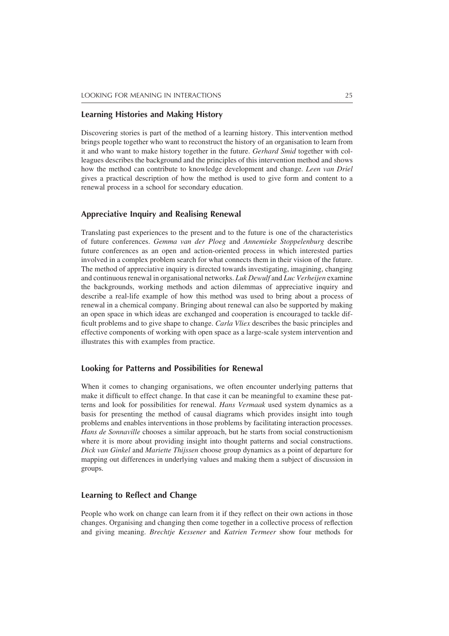#### **Learning Histories and Making History**

Discovering stories is part of the method of a learning history. This intervention method brings people together who want to reconstruct the history of an organisation to learn from it and who want to make history together in the future. *Gerhard Smid* together with colleagues describes the background and the principles of this intervention method and shows how the method can contribute to knowledge development and change. *Leen van Driel* gives a practical description of how the method is used to give form and content to a renewal process in a school for secondary education.

## **Appreciative Inquiry and Realising Renewal**

Translating past experiences to the present and to the future is one of the characteristics of future conferences. *Gemma van der Ploeg* and *Annemieke Stoppelenburg* describe future conferences as an open and action-oriented process in which interested parties involved in a complex problem search for what connects them in their vision of the future. The method of appreciative inquiry is directed towards investigating, imagining, changing and continuous renewal in organisational networks. *Luk Dewulf* and *Luc Verheijen* examine the backgrounds, working methods and action dilemmas of appreciative inquiry and describe a real-life example of how this method was used to bring about a process of renewal in a chemical company. Bringing about renewal can also be supported by making an open space in which ideas are exchanged and cooperation is encouraged to tackle difficult problems and to give shape to change. *Carla Vliex* describes the basic principles and effective components of working with open space as a large-scale system intervention and illustrates this with examples from practice.

#### **Looking for Patterns and Possibilities for Renewal**

When it comes to changing organisations, we often encounter underlying patterns that make it difficult to effect change. In that case it can be meaningful to examine these patterns and look for possibilities for renewal. *Hans Vermaak* used system dynamics as a basis for presenting the method of causal diagrams which provides insight into tough problems and enables interventions in those problems by facilitating interaction processes. *Hans de Sonnaville* chooses a similar approach, but he starts from social constructionism where it is more about providing insight into thought patterns and social constructions. *Dick van Ginkel* and *Mariette Thijssen* choose group dynamics as a point of departure for mapping out differences in underlying values and making them a subject of discussion in groups.

#### **Learning to Reflect and Change**

People who work on change can learn from it if they reflect on their own actions in those changes. Organising and changing then come together in a collective process of reflection and giving meaning. *Brechtje Kessener* and *Katrien Termeer* show four methods for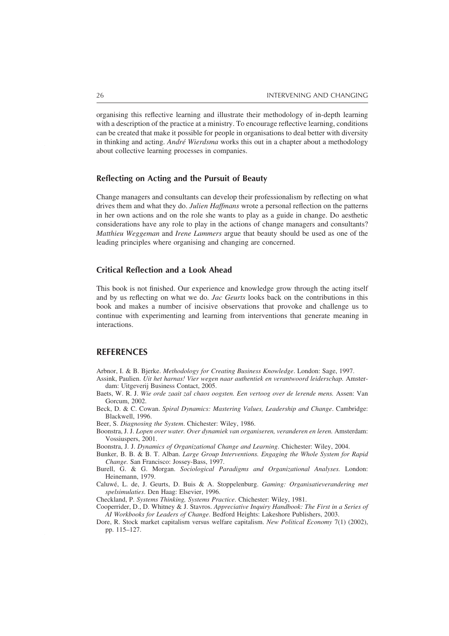organising this reflective learning and illustrate their methodology of in-depth learning with a description of the practice at a ministry. To encourage reflective learning, conditions can be created that make it possible for people in organisations to deal better with diversity in thinking and acting. *André Wierdsma* works this out in a chapter about a methodology about collective learning processes in companies.

#### **Reflecting on Acting and the Pursuit of Beauty**

Change managers and consultants can develop their professionalism by reflecting on what drives them and what they do. *Julien Haffmans* wrote a personal reflection on the patterns in her own actions and on the role she wants to play as a guide in change. Do aesthetic considerations have any role to play in the actions of change managers and consultants? *Matthieu Weggeman* and *Irene Lammers* argue that beauty should be used as one of the leading principles where organising and changing are concerned.

# **Critical Reflection and a Look Ahead**

This book is not finished. Our experience and knowledge grow through the acting itself and by us reflecting on what we do. *Jac Geurts* looks back on the contributions in this book and makes a number of incisive observations that provoke and challenge us to continue with experimenting and learning from interventions that generate meaning in interactions.

# **REFERENCES**

- Arbnor, I. & B. Bjerke. *Methodology for Creating Business Knowledge*. London: Sage, 1997.
- Assink, Paulien. *Uit het harnas! Vier wegen naar authentiek en verantwoord leiderschap.* Amsterdam: Uitgeverij Business Contact, 2005.
- Baets, W. R. J. *Wie orde zaait zal chaos oogsten. Een vertoog over de lerende mens.* Assen: Van Gorcum, 2002.
- Beck, D. & C. Cowan. *Spiral Dynamics: Mastering Values, Leadership and Change*. Cambridge: Blackwell, 1996.
- Beer, S. *Diagnosing the System*. Chichester: Wiley, 1986.
- Boonstra, J. J. *Lopen over water. Over dynamiek van organiseren, veranderen en leren.* Amsterdam: Vossiuspers, 2001.
- Boonstra, J. J. *Dynamics of Organizational Change and Learning*. Chichester: Wiley, 2004.
- Bunker, B. B. & B. T. Alban. *Large Group Interventions. Engaging the Whole System for Rapid Change.* San Francisco: Jossey-Bass, 1997.
- Burell, G. & G. Morgan. *Sociological Paradigms and Organizational Analyses.* London: Heinemann, 1979.
- Caluwé, L. de, J. Geurts, D. Buis & A. Stoppelenburg. *Gaming: Organisatieverandering met spelsimulaties*. Den Haag: Elsevier, 1996.

Checkland, P. *Systems Thinking, Systems Practice*. Chichester: Wiley, 1981.

- Cooperrider, D., D. Whitney & J. Stavros. *Appreciative Inquiry Handbook: The First in a Series of AI Workbooks for Leaders of Change*. Bedford Heights: Lakeshore Publishers, 2003.
- Dore, R. Stock market capitalism versus welfare capitalism. *New Political Economy* 7(1) (2002), pp. 115–127.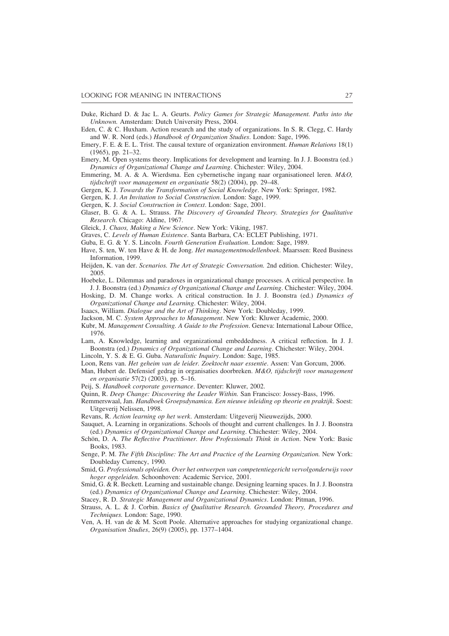- Duke, Richard D. & Jac L. A. Geurts. *Policy Games for Strategic Management. Paths into the Unknown.* Amsterdam: Dutch University Press, 2004.
- Eden, C. & C. Huxham. Action research and the study of organizations. In S. R. Clegg, C. Hardy and W. R. Nord (eds.) *Handbook of Organization Studies*. London: Sage, 1996.
- Emery, F. E. & E. L. Trist. The causal texture of organization environment. *Human Relations* 18(1) (1965), pp. 21–32.
- Emery, M. Open systems theory. Implications for development and learning. In J. J. Boonstra (ed.) *Dynamics of Organizational Change and Learning*. Chichester: Wiley, 2004.
- Emmering, M. A. & A. Wierdsma. Een cybernetische ingang naar organisationeel leren. *M&O, tijdschrift voor management en organisatie* 58(2) (2004), pp. 29–48.
- Gergen, K. J. *Towards the Transformation of Social Knowledge*. New York: Springer, 1982.
- Gergen, K. J. *An Invitation to Social Construction*. London: Sage, 1999.
- Gergen, K. J. *Social Construction in Context*. London: Sage, 2001.
- Glaser, B. G. & A. L. Strauss. *The Discovery of Grounded Theory. Strategies for Qualitative Research*. Chicago: Aldine, 1967.
- Gleick, J. *Chaos, Making a New Science*. New York: Viking, 1987.
- Graves, C. *Levels of Human Existence*. Santa Barbara, CA: ECLET Publishing, 1971.
- Guba, E. G. & Y. S. Lincoln. *Fourth Generation Evaluation*. London: Sage, 1989.
- Have, S. ten, W. ten Have & H. de Jong. *Het managementmodellenboek*. Maarssen: Reed Business Information, 1999.
- Heijden, K. van der. *Scenarios. The Art of Strategic Conversation.* 2nd edition. Chichester: Wiley, 2005.
- Hoebeke, L. Dilemmas and paradoxes in organizational change processes. A critical perspective. In J. J. Boonstra (ed.) *Dynamics of Organizational Change and Learning*. Chichester: Wiley, 2004.
- Hosking, D. M. Change works. A critical construction. In J. J. Boonstra (ed.) *Dynamics of Organizational Change and Learning*. Chichester: Wiley, 2004.
- Isaacs, William. *Dialogue and the Art of Thinking*. New York: Doubleday, 1999.
- Jackson, M. C. *System Approaches to Management*. New York: Kluwer Academic, 2000.
- Kubr, M. *Management Consulting. A Guide to the Profession*. Geneva: International Labour Office, 1976.
- Lam, A. Knowledge, learning and organizational embeddedness. A critical reflection. In J. J. Boonstra (ed.) *Dynamics of Organizational Change and Learning*. Chichester: Wiley, 2004.
- Lincoln, Y. S. & E. G. Guba. *Naturalistic Inquiry*. London: Sage, 1985.
- Loon, Rens van. *Het geheim van de leider. Zoektocht naar essentie*. Assen: Van Gorcum, 2006.
- Man, Hubert de. Defensief gedrag in organisaties doorbreken. *M&O, tijdschrift voor management en organisatie* 57(2) (2003), pp. 5–16.
- Peij, S. *Handboek corporate governance*. Deventer: Kluwer, 2002.
- Quinn, R. *Deep Change: Discovering the Leader Within.* San Francisco: Jossey-Bass, 1996.
- Remmerswaal, Jan. *Handboek Groepsdynamica. Een nieuwe inleiding op theorie en praktijk*. Soest: Uitgeverij Nelissen, 1998.
- Revans, R. *Action learning op het werk*. Amsterdam: Uitgeverij Nieuwezijds, 2000.
- Sauquet, A. Learning in organizations. Schools of thought and current challenges. In J. J. Boonstra (ed.) *Dynamics of Organizational Change and Learning*. Chichester: Wiley, 2004.
- Schön, D. A. *The Reflective Practitioner. How Professionals Think in Action*. New York: Basic Books, 1983.
- Senge, P. M. *The Fifth Discipline: The Art and Practice of the Learning Organization.* New York: Doubleday Currency, 1990.
- Smid, G. *Professionals opleiden. Over het ontwerpen van competentiegericht vervolgonderwijs voor hoger opgeleiden.* Schoonhoven: Academic Service, 2001.
- Smid, G. & R. Beckett. Learning and sustainable change. Designing learning spaces. In J. J. Boonstra (ed.) *Dynamics of Organizational Change and Learning*. Chichester: Wiley, 2004.
- Stacey, R. D. *Strategic Management and Organizational Dynamics*. London: Pitman, 1996.
- Strauss, A. L. & J. Corbin. *Basics of Qualitative Research. Grounded Theory, Procedures and Techniques.* London: Sage, 1990.
- Ven, A. H. van de & M. Scott Poole. Alternative approaches for studying organizational change. *Organisation Studies*, 26(9) (2005), pp. 1377–1404.